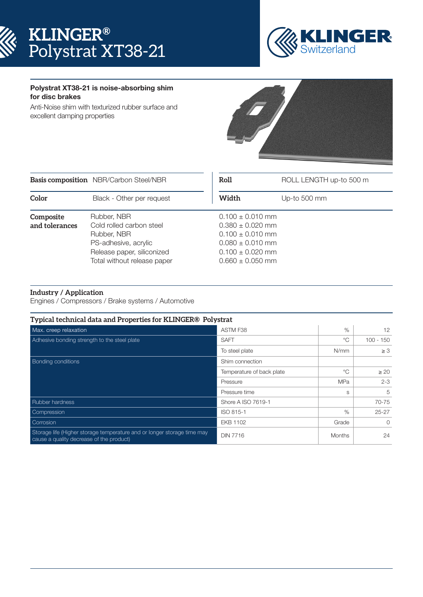



## Polystrat XT38-21 is noise-absorbing shim for disc brakes

Anti-Noise shim with texturized rubber surface and excellent damping properties



|                             | <b>Basis composition</b> NBR/Carbon Steel/NBR                                                                                               | Roll  | ROLL LENGTH up-to 500 m                                                                                                                      |  |
|-----------------------------|---------------------------------------------------------------------------------------------------------------------------------------------|-------|----------------------------------------------------------------------------------------------------------------------------------------------|--|
| Color                       | Black - Other per request                                                                                                                   | Width | Up-to 500 mm                                                                                                                                 |  |
| Composite<br>and tolerances | Rubber, NBR<br>Cold rolled carbon steel<br>Rubber, NBR<br>PS-adhesive, acrylic<br>Release paper, siliconized<br>Total without release paper |       | $0.100 \pm 0.010$ mm<br>$0.380 \pm 0.020$ mm<br>$0.100 \pm 0.010$ mm<br>$0.080 \pm 0.010$ mm<br>$0.100 \pm 0.020$ mm<br>$0.660 \pm 0.050$ mm |  |

## **Industry / Application**

Engines / Compressors / Brake systems / Automotive

| Typical technical data and Properties for KLINGER® Polystrat                                                        |                                                            |               |             |  |
|---------------------------------------------------------------------------------------------------------------------|------------------------------------------------------------|---------------|-------------|--|
| Max. creep relaxation                                                                                               | ASTM F38                                                   | $\%$          | 12          |  |
| Adhesive bonding strength to the steel plate                                                                        | <b>SAFT</b>                                                | °೧            | $100 - 150$ |  |
|                                                                                                                     | To steel plate                                             | N/mm          | $\geq 3$    |  |
| <b>Bonding conditions</b>                                                                                           | Shim connection<br>$^{\circ}$<br>Temperature of back plate |               |             |  |
|                                                                                                                     |                                                            |               | $\geq 20$   |  |
|                                                                                                                     | Pressure                                                   | <b>MPa</b>    | $2 - 3$     |  |
|                                                                                                                     | Pressure time                                              | S             | 5           |  |
| <b>Rubber hardness</b>                                                                                              | Shore A ISO 7619-1                                         |               | 70-75       |  |
| Compression                                                                                                         | ISO 815-1                                                  | $\%$          | $25 - 27$   |  |
| Corrosion                                                                                                           | <b>EKB 1102</b>                                            | Grade         | $\Omega$    |  |
| Storage life (Higher storage temperature and or longer storage time may<br>cause a quality decrease of the product) | <b>DIN 7716</b>                                            | <b>Months</b> | 24          |  |